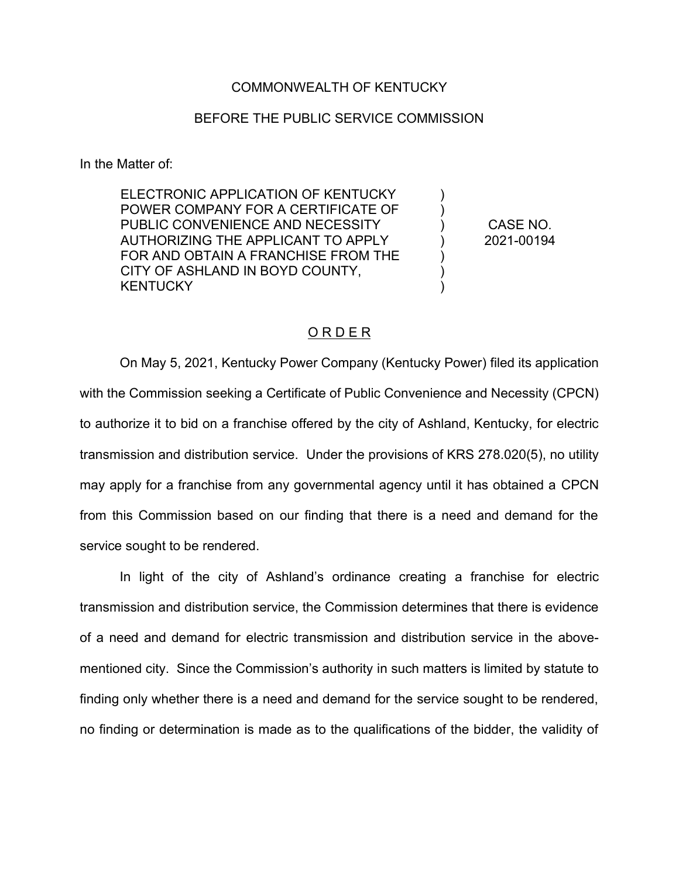## COMMONWEALTH OF KENTUCKY

## BEFORE THE PUBLIC SERVICE COMMISSION

In the Matter of:

ELECTRONIC APPLICATION OF KENTUCKY POWER COMPANY FOR A CERTIFICATE OF PUBLIC CONVENIENCE AND NECESSITY AUTHORIZING THE APPLICANT TO APPLY FOR AND OBTAIN A FRANCHISE FROM THE CITY OF ASHLAND IN BOYD COUNTY, **KENTUCKY** 

CASE NO. 2021-00194

) ) ) ) ) ) )

## O R D E R

On May 5, 2021, Kentucky Power Company (Kentucky Power) filed its application with the Commission seeking a Certificate of Public Convenience and Necessity (CPCN) to authorize it to bid on a franchise offered by the city of Ashland, Kentucky, for electric transmission and distribution service. Under the provisions of KRS 278.020(5), no utility may apply for a franchise from any governmental agency until it has obtained a CPCN from this Commission based on our finding that there is a need and demand for the service sought to be rendered.

In light of the city of Ashland's ordinance creating a franchise for electric transmission and distribution service, the Commission determines that there is evidence of a need and demand for electric transmission and distribution service in the abovementioned city. Since the Commission's authority in such matters is limited by statute to finding only whether there is a need and demand for the service sought to be rendered, no finding or determination is made as to the qualifications of the bidder, the validity of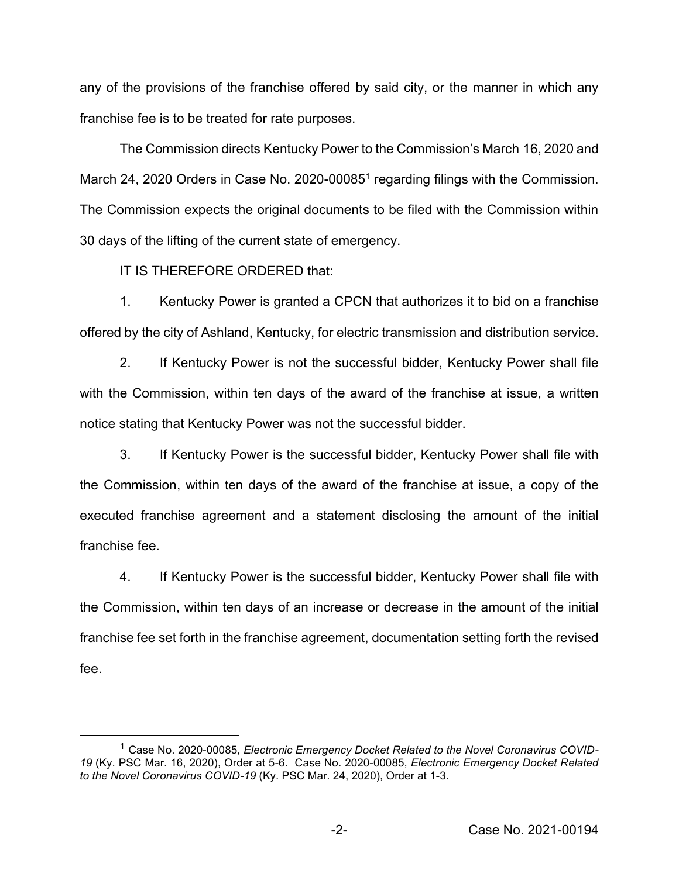any of the provisions of the franchise offered by said city, or the manner in which any franchise fee is to be treated for rate purposes.

The Commission directs Kentucky Power to the Commission's March 16, 2020 and March 24, 2020 Orders in Case No. 2020-00085<sup>1</sup> regarding filings with the Commission. The Commission expects the original documents to be filed with the Commission within 30 days of the lifting of the current state of emergency.

IT IS THEREFORE ORDERED that:

1. Kentucky Power is granted a CPCN that authorizes it to bid on a franchise offered by the city of Ashland, Kentucky, for electric transmission and distribution service.

2. If Kentucky Power is not the successful bidder, Kentucky Power shall file with the Commission, within ten days of the award of the franchise at issue, a written notice stating that Kentucky Power was not the successful bidder.

3. If Kentucky Power is the successful bidder, Kentucky Power shall file with the Commission, within ten days of the award of the franchise at issue, a copy of the executed franchise agreement and a statement disclosing the amount of the initial franchise fee.

4. If Kentucky Power is the successful bidder, Kentucky Power shall file with the Commission, within ten days of an increase or decrease in the amount of the initial franchise fee set forth in the franchise agreement, documentation setting forth the revised fee.

<sup>1</sup> Case No. 2020-00085, *Electronic Emergency Docket Related to the Novel Coronavirus COVID-19* (Ky. PSC Mar. 16, 2020), Order at 5-6. Case No. 2020-00085, *Electronic Emergency Docket Related to the Novel Coronavirus COVID-19* (Ky. PSC Mar. 24, 2020), Order at 1-3.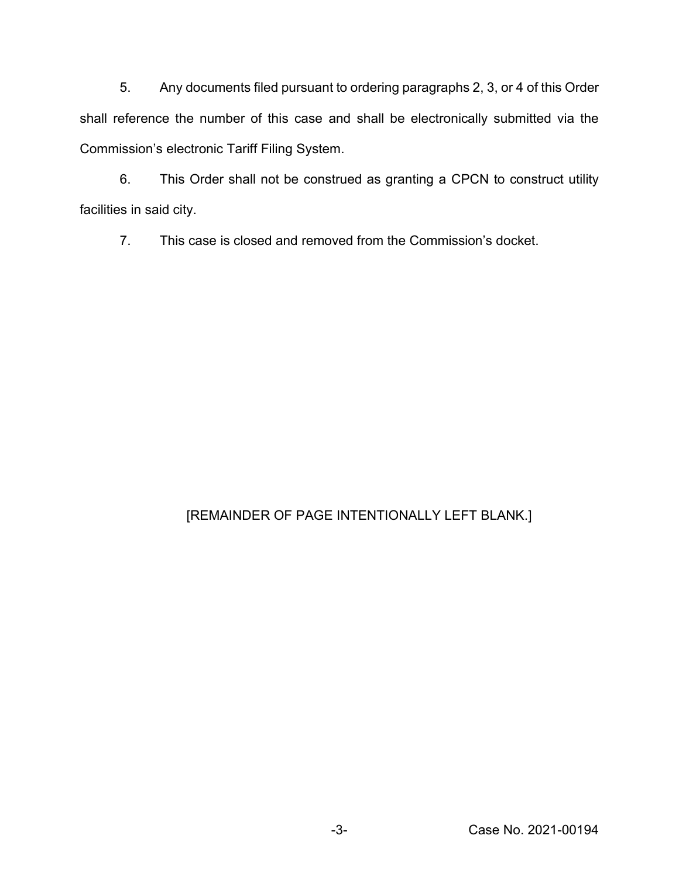5. Any documents filed pursuant to ordering paragraphs 2, 3, or 4 of this Order shall reference the number of this case and shall be electronically submitted via the Commission's electronic Tariff Filing System.

6. This Order shall not be construed as granting a CPCN to construct utility facilities in said city.

7. This case is closed and removed from the Commission's docket.

## [REMAINDER OF PAGE INTENTIONALLY LEFT BLANK.]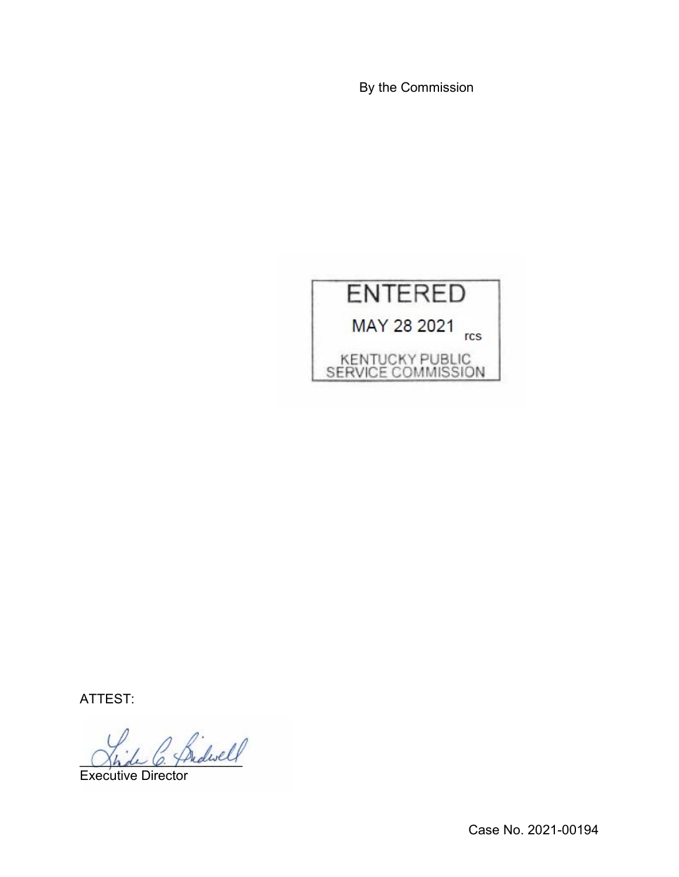By the Commission



ATTEST:

 $\overleftrightarrow{\text{Pred}}$ 

Executive Director

Case No. 2021-00194